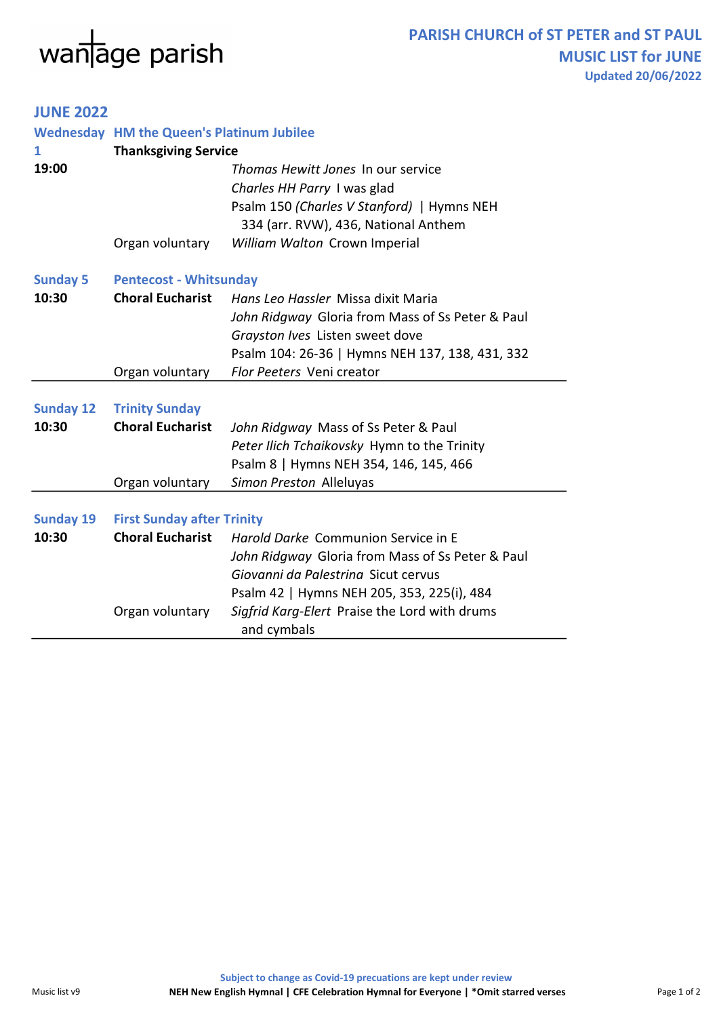## $w$ anage parish

## JUNE 2022

|                           | <b>Wednesday HM the Queen's Platinum Jubilee</b>             |                                                              |  |
|---------------------------|--------------------------------------------------------------|--------------------------------------------------------------|--|
| 1                         | <b>Thanksgiving Service</b>                                  |                                                              |  |
| 19:00                     |                                                              | Thomas Hewitt Jones In our service                           |  |
|                           |                                                              | Charles HH Parry I was glad                                  |  |
|                           |                                                              | Psalm 150 (Charles V Stanford)   Hymns NEH                   |  |
|                           |                                                              | 334 (arr. RVW), 436, National Anthem                         |  |
|                           | Organ voluntary                                              | William Walton Crown Imperial                                |  |
| <b>Sunday 5</b>           | <b>Pentecost - Whitsunday</b>                                |                                                              |  |
| 10:30                     | <b>Choral Eucharist</b>                                      | Hans Leo Hassler Missa dixit Maria                           |  |
|                           |                                                              | John Ridgway Gloria from Mass of Ss Peter & Paul             |  |
|                           |                                                              | Grayston Ives Listen sweet dove                              |  |
|                           |                                                              | Psalm 104: 26-36   Hymns NEH 137, 138, 431, 332              |  |
|                           | Organ voluntary                                              | Flor Peeters Veni creator                                    |  |
|                           |                                                              |                                                              |  |
| <b>Sunday 12</b>          | <b>Trinity Sunday</b>                                        |                                                              |  |
| 10:30                     | <b>Choral Eucharist</b>                                      | John Ridgway Mass of Ss Peter & Paul                         |  |
|                           |                                                              | Peter Ilich Tchaikovsky Hymn to the Trinity                  |  |
|                           |                                                              | Psalm 8   Hymns NEH 354, 146, 145, 466                       |  |
|                           | Organ voluntary                                              | Simon Preston Alleluyas                                      |  |
|                           |                                                              |                                                              |  |
| <b>Sunday 19</b><br>10:30 | <b>First Sunday after Trinity</b><br><b>Choral Eucharist</b> |                                                              |  |
|                           |                                                              | Harold Darke Communion Service in E                          |  |
|                           |                                                              | John Ridgway Gloria from Mass of Ss Peter & Paul             |  |
|                           |                                                              | Giovanni da Palestrina Sicut cervus                          |  |
|                           |                                                              | Psalm 42   Hymns NEH 205, 353, 225(i), 484                   |  |
|                           | Organ voluntary                                              | Sigfrid Karg-Elert Praise the Lord with drums<br>and cymbals |  |